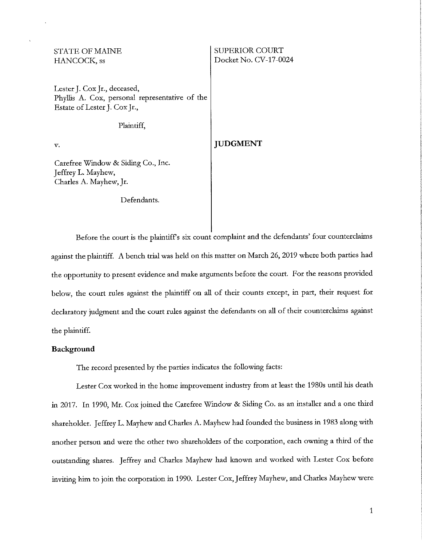## STATE OF MAINE HANCOCK, ss Lester J. Cox Jr., deceased, Phyllis A. Cox, personal representative of the Estate of Lester J. Cox Jr., Plaintiff, SUPERIOR COURT Docket No. CV-17-0024

*v.* 

## **JUDGMENT**

Carefree Window & Siding Co., Inc. Jeffrey L. Mayhew, Charles A. Mayhew, Jr.

#### Defendants.

Before the court is the plaintiffs six count complaint and the defendants' four counterclaims against the plaintiff. A bench trial was held on this matter on March 26, 2019 where both parties had the opportunity to present evidence and make arguments before the court. For the reasons provided below, the court rules against the plaintiff on all of their counts except, in part, their request for declaratory judgment and the court rules against the defendants on all of their counterclaims against the plaintiff.

#### **Background**

The record presented by the parties indicates the following facts:

Lester Cox worked in the home improvement industry from at least the 1980s until his death in 2017. In 1990, Mr. Cox joined the Carefree Window & Siding Co. as an installer and a one third shareholder. Jeffrey L. Mayhew and Charles A. Mayhew had founded the business in 1983 along with another person and were the other two shareholders of the corporation, each owning a third of the outstanding shares. Jeffrey and Charles Mayhew had known and worked with Lester Cox before inviting him to join the corporation in 1990. Lester Cox, Jeffrey Mayhew, and Charles Mayhew were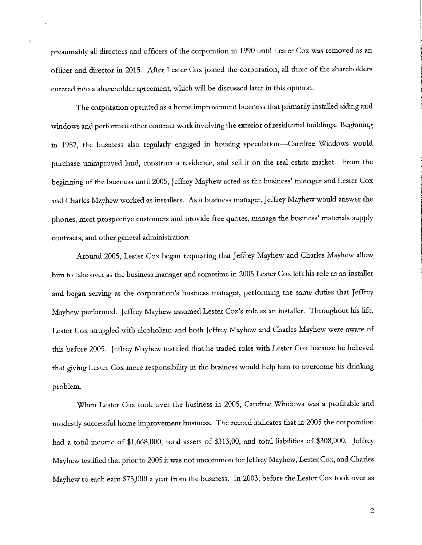presumably all directors and officers of the corporation in 1990 until Lester Cox was removed as an officer and director in 2015. After Lester Cox joined the corporation, all three of the shareholders entered into a shareholder agreement, which will be discussed later in this opinion.

The corporation operated as a home improvement business that primarily installed siding and windows and performed other contract work involving the exterior ofresidential buildings. Beginning in 1987, the business also regularly engaged in housing speculation—Carefree Windows would purchase unimproved land, construct a residence, and sell it on the real estate market. From the beginning of the business until 2005, Jeffrey Mayhew acted as the business' manager and Lester Cox and Charles Mayhew worked as installers. As a business manager, Jeffrey Mayhew would answer the phones, meet prospective customers and provide free quotes, manage the business' materials supply contracts, and other general administration.

Around 2005, Lester Cox began requesting that Jeffrey Mayhew and Charles Mayhew allow him to take over as the business manager and sometime in 2005 Lester Cox left his role as an installer and began serving as the corporation's business manager, performing the same duties that Jeffrey Mayhew performed. Jeffrey Mayhew assumed Lester Cox's role as an installer. Throughout his life, Lester Cox struggled with alcoholism and both Jeffrey Mayhew and Charles Mayhew were aware of this before 2005. Jeffrey Mayhew testified that he traded roles with Lester Cox because he believed that giving Lester Cox more responsibility in the business would help him to overcome his drinking problem.

When Lester Cox took over the business in 2005, Carefree Windows was a profitable and modestly successful home improvement business. The record indicates that in 2005 the corporation had a total income of \$1,668,000, total assets of \$313,00, and total liabilities of \$308,000. Jeffrey Mayhew testified that prior to 2005 it was not uncommon for Jeffrey Mayhew, Lester Cox, and Charles Mayhew to each earn \$75,000 a year from the business. In 2003, before the Lester Cox took over as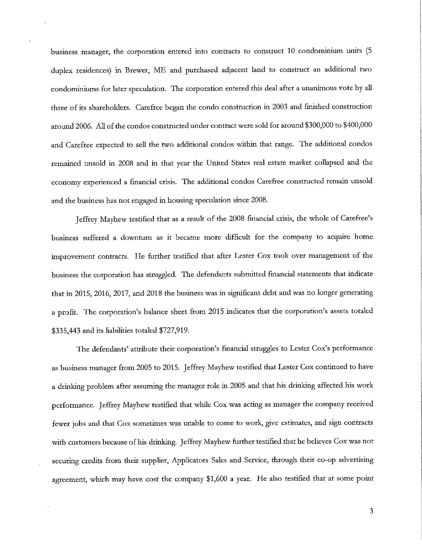business manager, the corporation entered into contracts to construct 10 condominium units (5 duplex residences) in Brewer, ME and purchased adjacent land to construct an additional two condominiums for later speculation. The corporation entered this deal after a unanimous *vote* by all three of its shareholders. Carefree began the condo construction in 2003 and finished construction around 2006. All of the condos constructed under contract were sold for around \$300,000 to \$400,000 and Carefree expected to sell the two additional condos within that range. The additional condos remained unsold in 2008 and in that year the United States real estate market collapsed and the economy experienced a financial crisis. The additional condos Carefree constructed remain unsold and the business has not engaged in housing speculation since 2008.

Jeffrey Mayhew testified that as a result of the 2008 financial crisis, the whole of Carefree's business suffered a downturn as it became more difficult for the company to acquire home improvement contracts. He further testified that after Lester Cox took over management of the business the corporation has struggled. The defendants submitted financial statements that indicate that in 2015, 2016, 2017, and 2018 the business was in significant debt and was no longer generating a profit. The corporation's balance sheet from 2015 indicates that the corporation's assets totaled \$335,443 and its liabilities totaled \$727,919.

The defendants' attribute their corporation's financial struggles to Lester Cox's performance as business manager from 2005 to 2015. Jeffrey Mayhew testified that Lester Cox continued to have a drinking problem after assuming the manager role in 2005 and that his drinking affected his work performance. Jeffrey Mayhew testified that while Cox was acting as manager the company received fewer jobs and that Cox sometimes was unable to come to work, give estimates, and sign contracts with customers because of his drinking. Jeffrey Mayhew further testified that he believes Cox was not securing credits from their supplier, Applicators Sales and Service, through their co-op advertising agreement, which may have cost the company \$1,600 a year. He also testified that at some point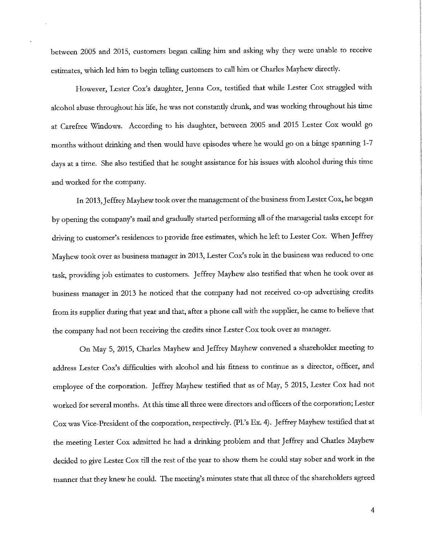between 2005 and 2015, customers began calling him and asking why they were unable to receive estimates, which led him to begin telling customers to call him or Charles Mayhew directly.

However, Lester Cox's daughter, Jenna Cox, testified that while Lester Cox struggled with alcohol abuse throughout his life, he was not constantly drunk, and was working throughout his time at Carefree Windows. According to his daughter, between 2005 and 2015 Lester Cox would go months without drinking and then would have episodes where he would go on a binge spanning 1-7 days at a time. She also testified that he sought assistance for his issues with alcohol during this time and worked for the company.

In 2013, Jeffrey Mayhew took over the management of the business from Lester Cox, he began by opening the company's mail and gradually started performing all of the managerial tasks except for driving to customer's residences to provide free estimates, which he left to Lester Cox. When Jeffrey Mayhew took over as business manager in 2013, Lester Cox's role in the business was reduced to one task, providing job estimates to customers. Jeffrey Mayhew also testified that when he took over as business manager in 2013 he noticed that the company had not received co-op advertising credits from its supplier during that year and that, after a phone call with the supplier, he came to believe that the company had not been receiving the credits since Lester Cox took over as manager.

On May 5, 2015, Charles Mayhew and Jeffrey Mayhew convened a shareholder meeting to address Lester Cox's difficulties with alcohol and his fitness to continue as a director, officer, and employee of the corporation. Jeffrey Mayhew testified that as of May, 5 2015, Lester Cox had not worked for several months. At this time all three were directors and officers of the corporation; Lester Cox was Vice-President of the corporation, respectively. (Pl.'s Ex. 4). Jeffrey Mayhew testified that at the meeting Lester Cox admitted he had a drinking problem and that Jeffrey and Charles Mayhew decided to give Lester Cox till the rest of the year to show them he could stay sober and work in the manner that they knew he could. The meeting's minutes state that all three of the shareholders agreed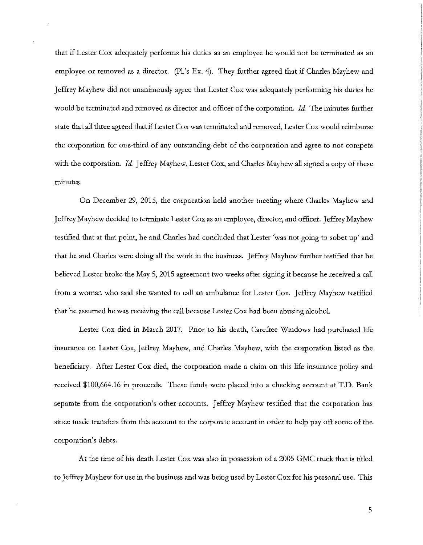that if Lester Cox adequately performs his duties as an employee he would not be terminated as an employee or removed as a director. (Pl.'s Ex. 4). They further agreed that if Charles Mayhew and Jeffrey Mayhew did not unanimously agree that Lester Cox was adequately performing his duties he would be terminated and removed as director and officer of the corporation. *Id.* The minutes further state that all three agreed that ifLester Cox was terminated and removed, Lester Cox would reimburse the corporation for one-third of any outstanding debt of the corporation and agree to not-compete with the corporation. *Id.* Jeffrey Mayhew, Lester Cox, and Charles Mayhew all signed a copy of these **minutes.** 

On December 29, 2015, the corporation held another meeting where Charles Mayhew and Jeffrey Mayhew decided to terminate Lester Cox as an employee, director, and officer. Jeffrey Mayhew testified that at that point, he and Charles had concluded that Lester 'was not going to sober up' and that he and Charles were doing all the work in the business. Jeffrey Mayhew further testified that he believed Lester broke the May 5, 2015 agreement two weeks after signing it because he received a call from a woman who said she wanted to call an ambulance for Lester Cox. Jeffrey Mayhew testified that he assumed he was receiving the call because Lester Cox had been abusing alcohol.

Lester Cox died in March 2017. Prior to his death, Carefree Windows had purchased life insurance on Lester Cox, Jeffrey Mayhew, and Charles Mayhew, with the corporation listed as the beneficiary. After Lester Cox died, the corporation made a claim on this life insurance policy and received \$100,664.16 in proceeds. These funds were placed into a checking account at T.D. Bank separate from the corporation's other accounts. Jeffrey Mayhew testified that the corporation has since made transfers from this account to the corporate account in order to help pay off some of the corporation's debts.

At the time of his death Lester Cox was also in possession of a 2005 GMC truck that is titled to Jeffrey Mayhew for use in the business and was being used by Lester Cox for his personal use. This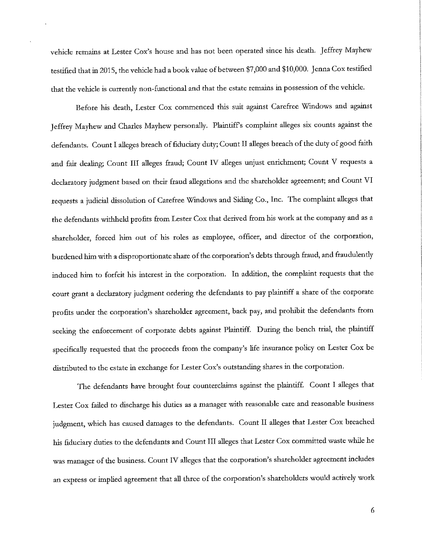vehicle remains at Lester Cox's house and has not been operated since his death. Jeffrey Mayhew testified that in 2015, the vehicle had a book value of between \$7,000 and \$10,000. Jenna Cox testified that the vehicle is currently non-functional and that the estate remains in possession of the vehicle.

Before his death, Lester Cox commenced this suit against Carefree Windows and against Jeffrey Mayhew and Charles Mayhew personally. Plaintiffs complaint alleges six counts against the defendants. Count I alleges breach of fiduciary duty; Count II alleges breach of the duty of good faith and fair dealing; Count III alleges fraud; Count IV alleges unjust enrichment; Count V requests a declaratory judgment based on their fraud allegations and the shareholder agreement; and Count VI requests a judicial dissolution of Carefree Windows and Siding Co., Inc. The complaint alleges that the defendants withheld profits from Lester Cox that derived from his work at the company and as a shareholder, forced him out of his roles as employee, officer, and director of the corporation, burdened him with a disproportionate share of the corporation's debts through fraud, and fraudulently induced him to forfeit his interest in the corporation. In addition, the complaint requests that the court grant a declaratory judgment ordering the defendants to pay plaintiff a share of the corporate profits under the corporation's shareholder agreement, back pay, and prohibit the defendants from seeking the enforcement of corporate debts against Plaintiff. During the bench trial, the plaintiff specifically requested that the proceeds from the company's life insurance policy on Lester Cox be distributed to the estate in exchange for Lester Cox's outstanding shares in the corporation.

The defendants have brought four counterclaims against the plaintiff. Count I alleges that Lester Cox failed to discharge his duties as a manager with reasonable care and reasonable business judgment, which has caused damages to the defendants. Count II alleges that Lester Cox breached his fiduciary duties to the defendants and Count III alleges that Lester Cox committed waste while he was manager of the business. Count IV alleges that the corporation's shareholder agreement includes an express or implied agreement that all three of the corporation's shareholders would actively work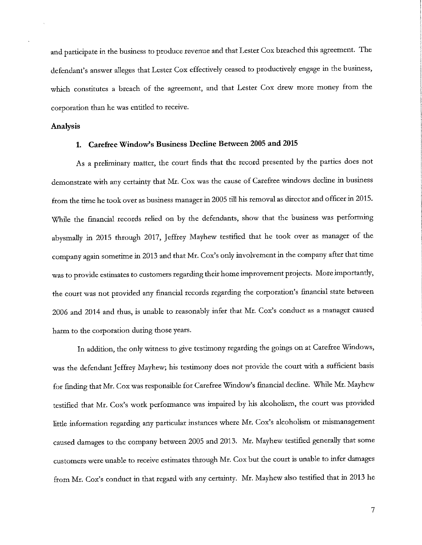and participate in the business to produce revenue and that Lester Cox breached this agreement. The defendant's answer alleges that Lester Cox effectively ceased to productively engage in the business, which constitutes a breach of the agreement, and that Lester Cox drew more money from the corporation than he was entitled to receive.

#### **Analysis**

## **1. Carefree Window's Business Decline Between 2005 and 2015**

As a preliminary matter, the court finds that the record presented by the parties does not demonstrate with any certainty that Mr. Cox was the cause of Carefree windows decline in business from the time he took over as business manager in 2005 till his removal as director and officer in 2015. While the financial records relied on by the defendants, show that the business was performing abysmally in 2015 through 2017, Jeffrey Mayhew testified that he took over as manager of the company again sometime in 2013 and that Mr. Cox's only involvement in the company after that time was to provide estimates to customers regarding their home improvement projects. More importantly, the court was not provided any financial records regarding the corporation's financial state between 2006 and 2014 and thus, is unable to reasonably infer that Mr. Cox's conduct as a manager caused harm to the corporation during those years.

In addition, the only witness to give testimony regarding the goings on at Carefree Windows, was the defendant Jeffrey Mayhew; his testimony does not provide the court with a sufficient basis for finding that Mr. Cox was responsible for Carefree Window's financial decline. While Mr. Mayhew testified that Mr. Cox's work performance was impaired by his alcoholism, the court was provided little information regarding any particular instances where Mr. Cox's alcoholism or mismanagement caused damages to the company between 2005 and 2013. Mr. Mayhew testified generally that some customers were unable to receive estimates through Mr. Cox but the court is unable to infer damages from Mr. Cox's conduct in that regard with any certainty. Mr. Mayhew also testified that in 2013 he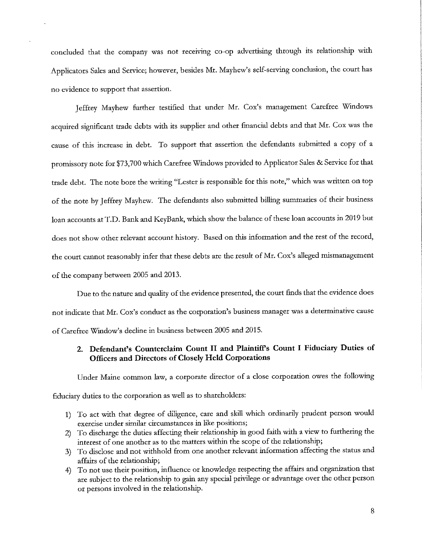concluded that the company was not receiving co-op advertising through its relationship with Applicators Sales and Service; however, besides Mr. Mayhew's self-serving conclusion, the court has no evidence to support that assertion.

Jeffrey Mayhew further testified that under Mr. Cox's management Carefree Windows acquired significant trade debts with its supplier and other financial debts and that Mr. Cox was the cause of this increase in debt. To support that assertion the defendants submitted a copy of a promissory note for \$73,700 which Carefree Windows provided to Applicator Sales & Service for that trade debt. The note bore the writing "Lester is responsible for this note," which was written on top of the note by Jeffrey Mayhew. The defendants also submitted billing summaries of their business loan accounts at T.D. Bank and KeyBank, which show the balance of these loan accounts in 2019 but does not show other relevant account history. Based on this information and the rest of the record, the court cannot reasonably infer that these debts are the result of Mr. Cox's alleged mismanagement of the company between 2005 and 2013.

Due to the nature and quality of the evidence presented, the court finds that the evidence does not indicate that Mr. Cox's conduct as the corporation's business manager was a determinative cause of Carefree Window's decline in business between 2005 and 2015.

## **2. Defendant's Counterclaim Count II and Plaintiffs Count I Fiduciary Duties of Officers and Directors of Closely Held Corporations**

Under Maine common law, a corporate director of a close corporation owes the following

fiduciary duties to the corporation as well as to shareholders:

- 1) To act with that degree of diligence, care and skill which ordinarily prudent person would exercise under similar circumstances in like positions;
- 2) To discharge the duties affecting their relationship in good faith with a view to furthering the interest of one another as to the matters within the scope of the relationship;
- 3) To disclose and not withhold from one another relevant information affecting the status and affairs of the relationship;
- 4) To not use their position, influence or knowledge respecting the affairs and organization that are subject to the relationship to gain any special privilege or advantage over the other person or persons involved in the relationship.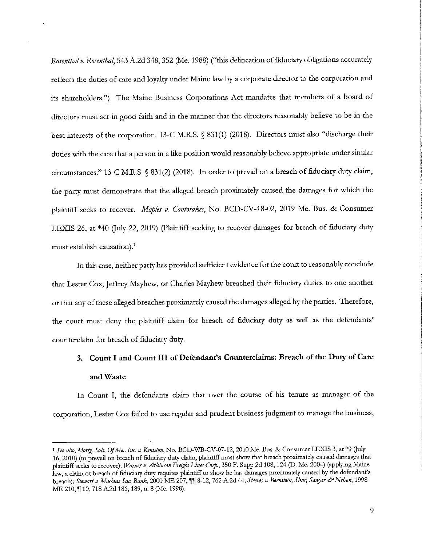*Rnsentha! v. Rnsentha!,* 543 A.Zd 348,352 (Me. 1988) ("this delineation of fiduciary obligations accurately reflects the duties of care and loyalty under Maine law by a corporate director to the corporation and its shareholders.") The Maine Business Corporations Act mandates that members of a board of directors must act in good faith and in the manner that the directors reasonably believe to be in the best interests of the corporation. 13-C M.R.S. § 831(1) (2018). Directors must also "discharge their duties with the care that a person in a like position would reasonably believe appropriate under similar circumstances." 13-C M.R.S. § 831 (2) (2018). In order to prevail on a breach of fiduciary duty claim, the party must demonstrate that the alleged breach proximately caused the damages for which the plaintiff seeks to recover. *Maples v. Contorakes*, No. BCD-CV-18-02, 2019 Me. Bus. & Consumer LEXIS 26, at \*40 (July 22, 2019) (Plaintiff seeking to recover damages for breach of fiduciary duty must establish causation).<sup>1</sup>

In this case, neither party has provided sufficient evidence for the court to reasonably conclude that Lester Cox, Jeffrey Mayhew, or Charles Mayhew breached their fiduciary duties to one another or that any of these alleged breaches proximately caused the damages alleged by the parties. Therefore, the court must deny the plaintiff claim for breach of fiduciary duty as well as the defendants' counterclaim for breach of fiduciary duty.

# **3. Count I and Count III of Defendant's Counterclaims: Breach of the Duty of Care and Waste**

In Count I, the defendants claim that over the course of his tenure as manager of the corporation, Lester Cox failed to use regular and prudent business judgment to manage the business,

<sup>l</sup>*See a/so,Mortg. Sols. OfMe., Inc. v. Keniston,* No. BCD-WB-CV-07-12, 2010 Me. Bus. & Consumer LEXIS 3, at \*9 Guly 16, 2010) (to prevail on breach of fiduciary dury claim, plaintiff must show that breach proximately caused damages that plaintiff seeks to recover); *IVamer v. Atkinson Freight Lines Corp.,* 350 F. Supp 2d 108, 124 (D. Me. 2004) (applying Maine **law, a claim of breach of fiduciary duty requires plaintiff to show he has damages proximately caused by the defendant's**  breach); *Stewart v. Machias Sav. Bank*, 2000 ME 207, *'*|| 8-12, 762 A.2d 44; *Steeves v. Bernstein, Shur, Sawyer & Nelson*, 1998 ME 210, **'| 10, 718 A.2d 186, 189, n. 8 (Me. 1998).**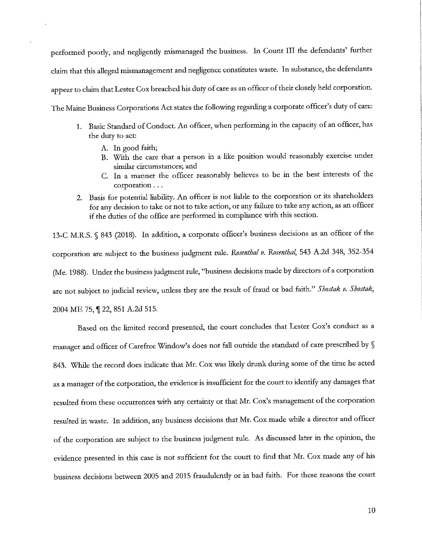performed poorly, and negligently mismanaged the business. In Count III the defendants' further claim that this alleged mismanagement and negligence constitutes waste. In substance, the defendants appear to claim that Lester Cox breached his duty of care as an officer of their closely held corporation. The Maine Business Corporations Act states the following regarding a corporate officer's duty of care:

- 1. Basic Standard of Conduct. An officer, when performing in the capacity of an officer, has the duty to act:
	- A. In good faith;
	- B. With the care that a person in a like position would reasonably exercise under **similar circumstances; and**
	- C. In a manner the officer reasonably believes to be in the best interests of the corporation ...
- 2. Basis for potential liability. An officer is not liable to the corporation or its shareholders for any decision to take or not to take action, or any failure to take any action, as an officer if the duties of the office are performed in compliance with this section.

13-C M.R.S. § 843 (2018). In addition, a corporate officer's business decisions as an officer of the corporation are subject to the business judgment rule. *Rnsenthal v. Rosenthal,* 543 A.2d 348, 352-354 (Me. 1988). Under the business judgment rule, "business decisions made by directors of a corporation are not subject to judicial review, unless they are the result of fraud or bad faith." *Shostak v. Shostak,*  2004 ME 75, 122, 851 A.2d 515.

Based on the limited record presented, the court concludes that Lester Cox's conduct as a manager and officer of Carefree Window's does not fall outside the standard of care prescribed by § 843. While the record does indicate that Mr. Cox was likely drunk during some of the time he acted as a manager of the corporation, the evidence is insufficient for the court to identify any damages that resulted from these occurrences with any certainty or that Mr. Cox's management of the corporation resulted in waste. In addition, any business decisions that Mr. Cox made while a director and officer of the corporation are subject to the business judgment rule. As discussed later in the opinion, the evidence presented in this case is not sufficient for the court to find that Mr. Cox made any of his business decisions between 2005 and 2015 fraudulently or in bad faith. For these reasons the court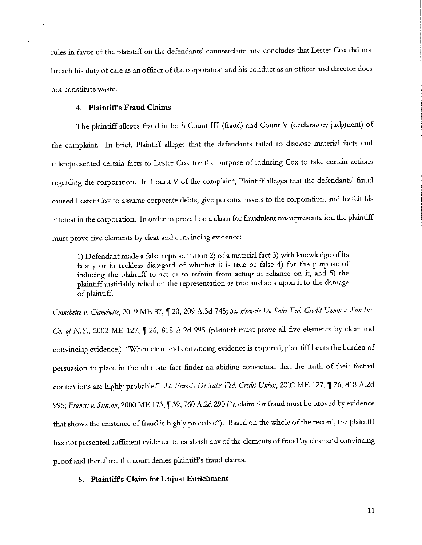rules in favor of the plaintiff on the defendants' counterclaim and concludes that Lester Cox did not breach his duty of care as an officer of the corporation and his conduct as an officer and director does **not constitute waste.** 

#### **4. Plaintiffs Fraud Claims**

The plaintiff alleges fraud in both Count III (fraud) and Count V (declaratory judgment) of the complaint. In brief, Plaintiff alleges that the defendants failed to disclose material facts and misrepresented certain facts to Lester Cox for the purpose of inducing Cox to take certain actions regarding the corporation. In Count V of the complaint, Plaintiff alleges that the defendants' fraud caused Lester Cox to assume corporate debts, give personal assets to the corporation, and forfeit his interest in the corporation. In order to prevail on a claim for fraudulent misrepresentation the plaintiff must prove five elements by clear and convincing evidence:

1) Defendant made a false representation 2) of a material fact 3) with knowledge ofits falsity or in reckless disregard of whether it is true or false 4) for the purpose of inducing the plaintiff to act or to refrain from acting in reliance on it, and 5) the plaintiff justifiably relied on the representation as true and acts upon it to the damage of plaintiff.

*Cianchette v. Cianchette, 2019 ME 87,*  $\P$  20, 209 A.3d 745; *St. Francis De Sales Fed. Credit Union v. Sun Ins.* Co. of N.Y., 2002 ME 127, 1 26, 818 A.2d 995 (plaintiff must prove all five elements by clear and convincing evidence.) "When clear and convincing evidence is required, plaintiff bears the burden of persuasion to place in the ultimate fact finder an abiding conviction that the truth of their factual contentions are highly probable." *St. Francis De Sales Fed. Credit Union*, 2002 ME 127, 126, 818 A.2d 995; *Francis v. Stinson*, 2000 ME 173, ¶ 39, 760 A.2d 290 ("a claim for fraud must be proved by evidence that shows the existence of fraud is highly probable"). Based on the whole of the record, the plaintiff has not presented sufficient evidence to establish any of the elements of fraud by clear and convincing proof and therefore, the court denies plaintiffs fraud claims.

#### **5. Plaintiffs Claim for Unjust Enrichment**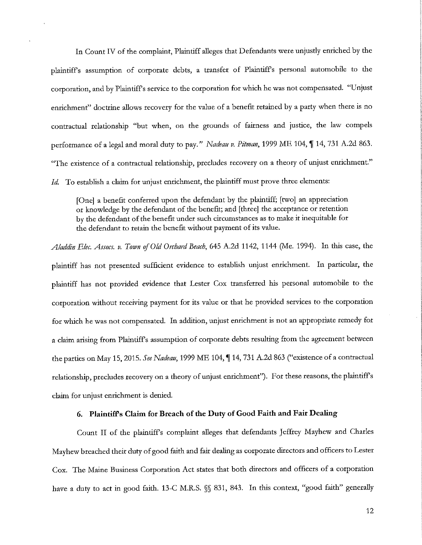In Count IV of the complaint, Plaintiff alleges that Defendants were unjustly enriched by the plaintiffs assumption of corporate debts, a transfer of Plaintiffs personal automobile to the corporation, and by Plaintiffs service to the corporation for which he was not compensated. "Unjust enrichment" doctrine allows recovery for the value of a benefit retained by a party when there is no contractual relationship "but when, on the grounds of fairness and justice, the law compels performance of a legal and moral duty to pay." *Nadeau v. Pitman,* 1999 ME 104, **'If** 14, 731 A.2d 863. "The existence of a contractual relationship, precludes recovery on a theory of unjust enrichment." Id. To establish a claim for unjust enrichment, the plaintiff must prove three elements:

[One] a benefit conferred upon the defendant by the plaintiff; [two] an appreciation or knowledge by the defendant of the benefit; and [three] the acceptance or retention by the defendant of the benefit under such circumstances as to make it inequitable for the defendant to retain the benefit without payment of its value.

*Aladdin E!ec. Assocs. v. Town ofOld Orchard Beach,* 645 A.2d 1142, 1144 (Me. 1994). In this case, the plaintiff has not presented sufficient evidence to establish unjust enrichment. In particular, the plaintiff has not provided evidence that Lester Cox transferred his personal automobile to the corporation without receiving payment for its value or that he provided services to the corporation for which he was not compensated. In addition, unjust enrichment is not an appropriate remedy for a claim arising from Plaintiffs assumption of corporate debts resulting from the agreement between the parties on May 15, 2015. *See Nadea11,* 1999 ME 104, **'If** 14, 731 A.2d 863 ("existence of a contractual relationship, precludes recovery on a theory of unjust enrichment"). For these reasons, the plaintiff's claim for unjust enrichment is denied.

## **6. Plaintiff's Claim for Breach of the Duty of Good Faith and Fair Dealing**

Count II of the plaintiffs complaint alleges that defendants Jeffrey Mayhew and Charles Mayhew breached their duty of good faith and fair dealing as corporate directors and officers to Lester Cox. The Maine Business Corporation Act states that both directors and officers of a corporation have a duty to act in good faith. 13-C M.R.S.  $\%$  831, 843. In this context, "good faith" generally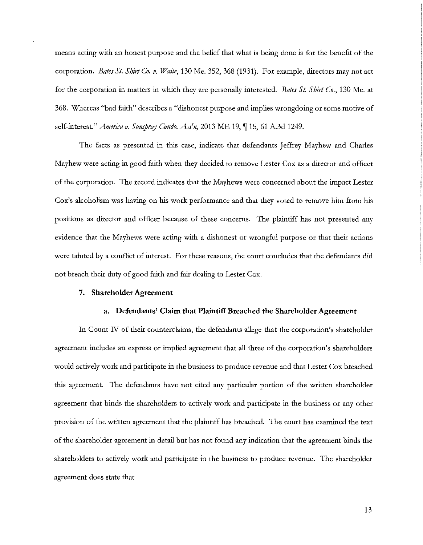means acting with an honest purpose and the belief that what is being done is for the benefit of the corporation. *Bates St. Shilt Co. v. Waite,* 130 Me. 352,368 (1931). For example, directors may not act for the corporation in matters in which they are personally interested. *Bates St. Shirt Co.,* 130 Me. at 368. Whereas "bad faith" describes a "dishonest purpose and implies wrongdoing or some motive of self-interest." *America v. Sunspray Condo. Ass'n*, 2013 ME 19, ¶ 15, 61 A.3d 1249.

The facts as presented in this case, indicate that defendants Jeffrey Mayhew and Charles Mayhew were acting in good faith when they decided to remove Lester Cox as a director and officer of the corporation. The record indicates that the Mayhews were concerned about the impact Lester Cox's alcoholism was having on his work performance and that they voted to remove him from his positions as director and officer because of these concerns. The plaintiff has not presented any evidence that the Mayhews were acting with a dishonest or wrongful purpose or that their actions were tainted by a conflict of interest. For these reasons, the court concludes that the defendants did not breach their duty of good faith and fair dealing to Lester Cox.

#### 7. **Shareholder Agreement**

#### **a. Defendants' Claim that Plaintiff Breached the Shareholder Agreement**

In Count *N* of their counterclaims, the defendants allege that the corporation's shareholder agreement includes an express or implied agreement that all three of the corporation's shareholders would actively work and participate in the business to produce revenue and that Lester Cox breached this agreement. The defendants have not cited any particular portion of the written shareholder agreement that binds the shareholders to actively work and participate in the business or any other provision of the written agreement that the plaintiff has breached. The court has examined the text of the shareholder agreement in detail but has not found any indication that the agreement binds the shareholders to actively work and participate in the business to produce revenue. The shareholder agreement does state that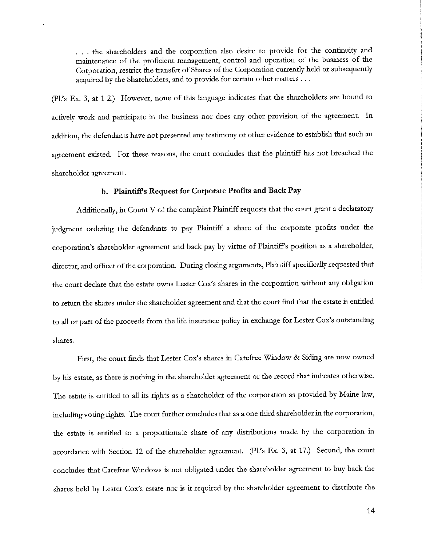. . . the shareholders and the corporation also desire to provide for the continuity and maintenance of the proficient management, control and operation of the business of the Corporation, restrict the transfer of Shates of the Corporation currently held or subsequently acquired by the Shareholders, and to provide for certain other matters ...

(Pl.'s Ex. 3, at 1-2.) However, none of this language indicates that the shareholders ate bound to actively work and participate in the business nor does any other provision of the agreement. In addition, the defendants have not presented any testimony or other evidence to establish that such an agreement existed. For these reasons, the court concludes that the plaintiff has not breached the shareholder agreement.

#### **b. Plaintiffs Request for Corporate Profits and Back Pay**

Additionally, in Count V of the complaint Plaintiff requests that the court grant a declaratory judgment ordering the defendants to pay Plaintiff a share of the corporate profits under the corporation's shateholder agreement and back pay by virtue of Plaintiffs position as a shareholder, director, and officer of the corporation. During closing arguments, Plaintiff specifically requested that the court declare that the estate owns Lester Cox's shares in the corporation without any obligation to return the shares under the shareholder agreement and that the court find that the estate is entitled to all or part of the proceeds from the life insurance policy in exchange for Lester Cox's outstanding shares.

First, the court finds that Lester Cox's shares in Carefree Window & Siding are now owned by his estate, as there is nothing in the shateholder agreement or the record that indicates othenvise. The estate is entitled to all its rights as a shareholder of the corporation as provided by Maine law, including voting rights. The court further concludes that as a one third shareholder in the corporation, the estate is entitled to a proportionate shate of any distributions made by the corporation in accordance with Section 12 of the shareholder agreement. (Pl.'s Ex. 3, at 17.) Second, the court concludes that Carefree Windows is not obligated under the shareholder agreement to buy back the shates held by Lester Cox's estate nor is it required by the shareholder agreement to distribute the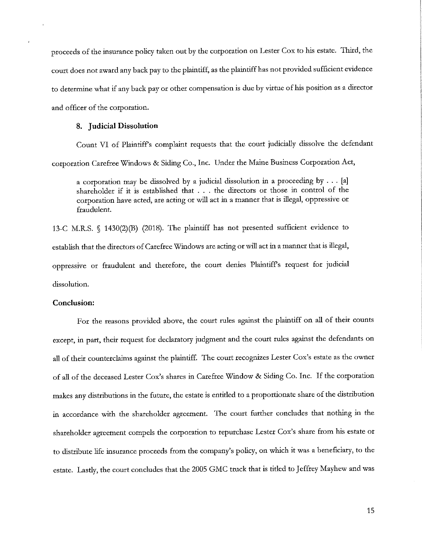proceeds of the insurance policy taken out by the corporation on Lester Cox to his estate. Third, the court does not award any back pay to the plaintiff, as the plaintiff has not provided sufficient evidence to determine what if any back pay or other compensation is due by virtue of his position as a director and officer of the corporation.

#### **8. Judicial Dissolution**

Count VI of Plaintiffs complaint requests that the court judicially dissolve the defendant corporation Carefree Windows & Siding Co., Inc. Under the Maine Business Corporation Act,

a corporation may be dissolved by a judicial dissolution in a proceeding by  $\dots$  [a] shareholder if it is established that . . . the directors or those in control of the corporation have acted, are acting or will act in a manner that is illegal, oppressive or fraudulent.

13-C M.R.S. § 1430(2)(B) (2018). The plaintiff has not presented sufficient evidence to establish that the directors of Carefree Windows are acting or will act in a manner that is illegal, oppressive or fraudulent and therefore, the court denies Plaintiffs request for judicial dissolution.

#### **Conclusion:**

For the reasons provided above, the court rules against the plaintiff on all of their counts except, in part, their request for declaratory judgment and the court rules against the defendants on all of their counterclaims against the plaintiff. The court recognizes Lester Cox's estate as the owner of all of the deceased Lester Cox's shares in Carefree Window & Siding Co. Inc. If the corporation makes any distributions in the future, the estate is entitled to a proportionate share of the distribution in accordance with the shareholder agreement. The court further concludes that nothing in the shareholder agreement compels the corporation to repurchase Lester Cox's share from his estate or to distribute life insurance proceeds from the company's policy, on which it was a beneficiary, to the estate. Lastly, the court concludes that the 2005 GMC truck that is titled to Jeffrey Mayhew and was